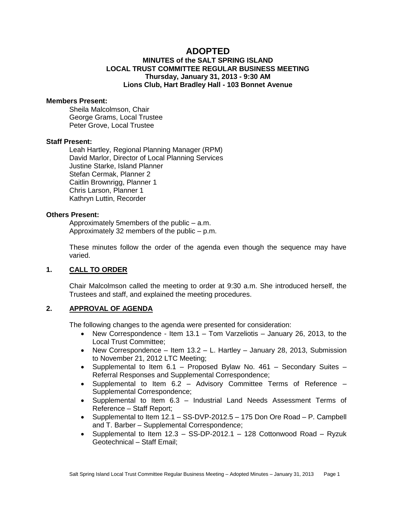# **ADOPTED**

# **MINUTES of the SALT SPRING ISLAND LOCAL TRUST COMMITTEE REGULAR BUSINESS MEETING Thursday, January 31, 2013 - 9:30 AM Lions Club, Hart Bradley Hall - 103 Bonnet Avenue**

#### **Members Present:**

Sheila Malcolmson, Chair George Grams, Local Trustee Peter Grove, Local Trustee

# **Staff Present:**

Leah Hartley, Regional Planning Manager (RPM) David Marlor, Director of Local Planning Services Justine Starke, Island Planner Stefan Cermak, Planner 2 Caitlin Brownrigg, Planner 1 Chris Larson, Planner 1 Kathryn Luttin, Recorder

#### **Others Present:**

Approximately 5members of the public – a.m. Approximately 32 members of the public – p.m.

These minutes follow the order of the agenda even though the sequence may have varied.

### **1. CALL TO ORDER**

Chair Malcolmson called the meeting to order at 9:30 a.m. She introduced herself, the Trustees and staff, and explained the meeting procedures.

### **2. APPROVAL OF AGENDA**

The following changes to the agenda were presented for consideration:

- New Correspondence Item  $13.1 -$  Tom Varzeliotis  $-$  January 26, 2013, to the Local Trust Committee;
- New Correspondence Item  $13.2$  L. Hartley January 28, 2013, Submission to November 21, 2012 LTC Meeting;
- Supplemental to Item 6.1 Proposed Bylaw No. 461 Secondary Suites Referral Responses and Supplemental Correspondence;
- Supplemental to Item 6.2 Advisory Committee Terms of Reference Supplemental Correspondence;
- Supplemental to Item 6.3 Industrial Land Needs Assessment Terms of Reference – Staff Report;
- Supplemental to Item 12.1 SS-DVP-2012.5 175 Don Ore Road P. Campbell and T. Barber – Supplemental Correspondence;
- Supplemental to Item  $12.3 SS-DP-2012.1 128$  Cottonwood Road Ryzuk Geotechnical – Staff Email;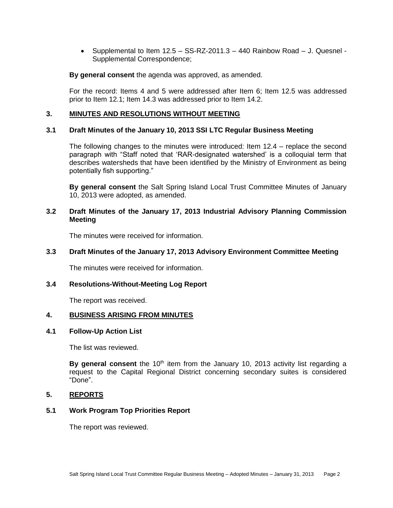• Supplemental to Item  $12.5 - SS-RZ-2011.3 - 440$  Rainbow Road  $-$  J. Quesnel -Supplemental Correspondence;

**By general consent** the agenda was approved, as amended.

For the record: Items 4 and 5 were addressed after Item 6; Item 12.5 was addressed prior to Item 12.1; Item 14.3 was addressed prior to Item 14.2.

# **3. MINUTES AND RESOLUTIONS WITHOUT MEETING**

### **3.1 Draft Minutes of the January 10, 2013 SSI LTC Regular Business Meeting**

The following changes to the minutes were introduced: Item 12.4 – replace the second paragraph with "Staff noted that 'RAR-designated watershed' is a colloquial term that describes watersheds that have been identified by the Ministry of Environment as being potentially fish supporting."

**By general consent** the Salt Spring Island Local Trust Committee Minutes of January 10, 2013 were adopted, as amended.

# **3.2 Draft Minutes of the January 17, 2013 Industrial Advisory Planning Commission Meeting**

The minutes were received for information.

#### **3.3 Draft Minutes of the January 17, 2013 Advisory Environment Committee Meeting**

The minutes were received for information.

# **3.4 Resolutions-Without-Meeting Log Report**

The report was received.

### **4. BUSINESS ARISING FROM MINUTES**

#### **4.1 Follow-Up Action List**

The list was reviewed.

By general consent the 10<sup>th</sup> item from the January 10, 2013 activity list regarding a request to the Capital Regional District concerning secondary suites is considered "Done".

#### **5. REPORTS**

# **5.1 Work Program Top Priorities Report**

The report was reviewed.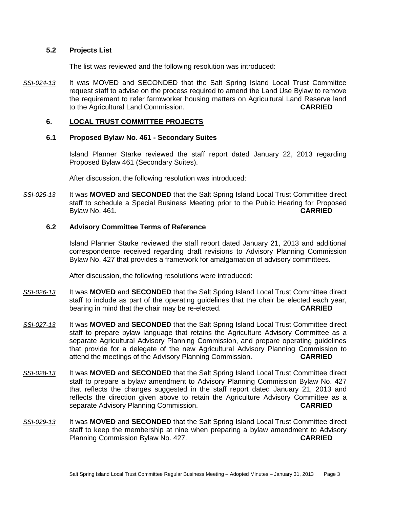### **5.2 Projects List**

The list was reviewed and the following resolution was introduced:

*SSI-024-13* It was MOVED and SECONDED that the Salt Spring Island Local Trust Committee request staff to advise on the process required to amend the Land Use Bylaw to remove the requirement to refer farmworker housing matters on Agricultural Land Reserve land to the Agricultural Land Commission. **CARRIED**

# **6. LOCAL TRUST COMMITTEE PROJECTS**

# **6.1 Proposed Bylaw No. 461 - Secondary Suites**

Island Planner Starke reviewed the staff report dated January 22, 2013 regarding Proposed Bylaw 461 (Secondary Suites).

After discussion, the following resolution was introduced:

*SSI-025-13* It was **MOVED** and **SECONDED** that the Salt Spring Island Local Trust Committee direct staff to schedule a Special Business Meeting prior to the Public Hearing for Proposed Bylaw No. 461. **CARRIED**

# **6.2 Advisory Committee Terms of Reference**

Island Planner Starke reviewed the staff report dated January 21, 2013 and additional correspondence received regarding draft revisions to Advisory Planning Commission Bylaw No. 427 that provides a framework for amalgamation of advisory committees.

After discussion, the following resolutions were introduced:

- *SSI-026-13* It was **MOVED** and **SECONDED** that the Salt Spring Island Local Trust Committee direct staff to include as part of the operating guidelines that the chair be elected each year, bearing in mind that the chair may be re-elected. **CARRIED**
- *SSI-027-13* It was **MOVED** and **SECONDED** that the Salt Spring Island Local Trust Committee direct staff to prepare bylaw language that retains the Agriculture Advisory Committee as a separate Agricultural Advisory Planning Commission, and prepare operating guidelines that provide for a delegate of the new Agricultural Advisory Planning Commission to attend the meetings of the Advisory Planning Commission. **CARRIED**
- *SSI-028-13* It was **MOVED** and **SECONDED** that the Salt Spring Island Local Trust Committee direct staff to prepare a bylaw amendment to Advisory Planning Commission Bylaw No. 427 that reflects the changes suggested in the staff report dated January 21, 2013 and reflects the direction given above to retain the Agriculture Advisory Committee as a separate Advisory Planning Commission. **CARRIED**
- *SSI-029-13* It was **MOVED** and **SECONDED** that the Salt Spring Island Local Trust Committee direct staff to keep the membership at nine when preparing a bylaw amendment to Advisory Planning Commission Bylaw No. 427. **CARRIED**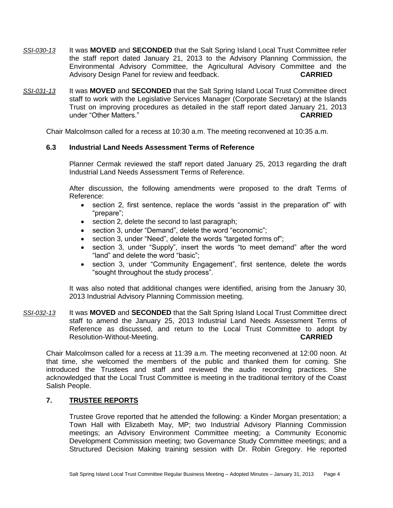- *SSI-030-13* It was **MOVED** and **SECONDED** that the Salt Spring Island Local Trust Committee refer the staff report dated January 21, 2013 to the Advisory Planning Commission, the Environmental Advisory Committee, the Agricultural Advisory Committee and the Advisory Design Panel for review and feedback. **CARRIED**
- *SSI-031-13* It was **MOVED** and **SECONDED** that the Salt Spring Island Local Trust Committee direct staff to work with the Legislative Services Manager (Corporate Secretary) at the Islands Trust on improving procedures as detailed in the staff report dated January 21, 2013 under "Other Matters." **CARRIED**

Chair Malcolmson called for a recess at 10:30 a.m. The meeting reconvened at 10:35 a.m.

# **6.3 Industrial Land Needs Assessment Terms of Reference**

Planner Cermak reviewed the staff report dated January 25, 2013 regarding the draft Industrial Land Needs Assessment Terms of Reference.

After discussion, the following amendments were proposed to the draft Terms of Reference:

- section 2, first sentence, replace the words "assist in the preparation of" with "prepare";
- section 2, delete the second to last paragraph;
- section 3, under "Demand", delete the word "economic";
- section 3, under "Need", delete the words "targeted forms of";
- section 3, under "Supply", insert the words "to meet demand" after the word "land" and delete the word "basic";
- section 3, under "Community Engagement", first sentence, delete the words "sought throughout the study process".

It was also noted that additional changes were identified, arising from the January 30, 2013 Industrial Advisory Planning Commission meeting.

*SSI-032-13* It was **MOVED** and **SECONDED** that the Salt Spring Island Local Trust Committee direct staff to amend the January 25, 2013 Industrial Land Needs Assessment Terms of Reference as discussed, and return to the Local Trust Committee to adopt by Resolution-Without-Meeting. **CARRIED**

Chair Malcolmson called for a recess at 11:39 a.m. The meeting reconvened at 12:00 noon. At that time, she welcomed the members of the public and thanked them for coming. She introduced the Trustees and staff and reviewed the audio recording practices. She acknowledged that the Local Trust Committee is meeting in the traditional territory of the Coast Salish People.

# **7. TRUSTEE REPORTS**

Trustee Grove reported that he attended the following: a Kinder Morgan presentation; a Town Hall with Elizabeth May, MP; two Industrial Advisory Planning Commission meetings; an Advisory Environment Committee meeting; a Community Economic Development Commission meeting; two Governance Study Committee meetings; and a Structured Decision Making training session with Dr. Robin Gregory. He reported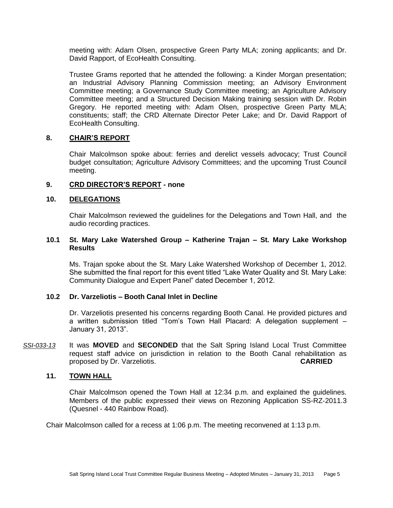meeting with: Adam Olsen, prospective Green Party MLA; zoning applicants; and Dr. David Rapport, of EcoHealth Consulting.

Trustee Grams reported that he attended the following: a Kinder Morgan presentation; an Industrial Advisory Planning Commission meeting; an Advisory Environment Committee meeting; a Governance Study Committee meeting; an Agriculture Advisory Committee meeting; and a Structured Decision Making training session with Dr. Robin Gregory. He reported meeting with: Adam Olsen, prospective Green Party MLA; constituents; staff; the CRD Alternate Director Peter Lake; and Dr. David Rapport of EcoHealth Consulting.

#### **8. CHAIR'S REPORT**

Chair Malcolmson spoke about: ferries and derelict vessels advocacy; Trust Council budget consultation; Agriculture Advisory Committees; and the upcoming Trust Council meeting.

# **9. CRD DIRECTOR'S REPORT - none**

#### **10. DELEGATIONS**

Chair Malcolmson reviewed the guidelines for the Delegations and Town Hall, and the audio recording practices.

# **10.1 St. Mary Lake Watershed Group – Katherine Trajan – St. Mary Lake Workshop Results**

Ms. Trajan spoke about the St. Mary Lake Watershed Workshop of December 1, 2012. She submitted the final report for this event titled "Lake Water Quality and St. Mary Lake: Community Dialogue and Expert Panel" dated December 1, 2012.

### **10.2 Dr. Varzeliotis – Booth Canal Inlet in Decline**

Dr. Varzeliotis presented his concerns regarding Booth Canal. He provided pictures and a written submission titled "Tom's Town Hall Placard: A delegation supplement – January 31, 2013".

*SSI-033-13* It was **MOVED** and **SECONDED** that the Salt Spring Island Local Trust Committee request staff advice on jurisdiction in relation to the Booth Canal rehabilitation as proposed by Dr. Varzeliotis. **CARRIED**

# **11. TOWN HALL**

Chair Malcolmson opened the Town Hall at 12:34 p.m. and explained the guidelines. Members of the public expressed their views on Rezoning Application SS-RZ‐2011.3 (Quesnel - 440 Rainbow Road).

Chair Malcolmson called for a recess at 1:06 p.m. The meeting reconvened at 1:13 p.m.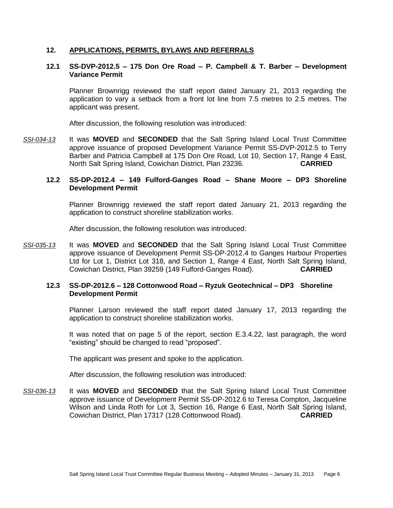# **12. APPLICATIONS, PERMITS, BYLAWS AND REFERRALS**

# **12.1 SS-DVP-2012.5 – 175 Don Ore Road – P. Campbell & T. Barber – Development Variance Permit**

Planner Brownrigg reviewed the staff report dated January 21, 2013 regarding the application to vary a setback from a front lot line from 7.5 metres to 2.5 metres. The applicant was present.

After discussion, the following resolution was introduced:

*SSI-034-13* It was **MOVED** and **SECONDED** that the Salt Spring Island Local Trust Committee approve issuance of proposed Development Variance Permit SS-DVP-2012.5 to Terry Barber and Patricia Campbell at 175 Don Ore Road, Lot 10, Section 17, Range 4 East, North Salt Spring Island, Cowichan District, Plan 23236. **CARRIED**

# **12.2 SS-DP-2012.4 – 149 Fulford-Ganges Road – Shane Moore – DP3 Shoreline Development Permit**

Planner Brownrigg reviewed the staff report dated January 21, 2013 regarding the application to construct shoreline stabilization works.

After discussion, the following resolution was introduced:

*SSI-035-13* It was **MOVED** and **SECONDED** that the Salt Spring Island Local Trust Committee approve issuance of Development Permit SS-DP-2012.4 to Ganges Harbour Properties Ltd for Lot 1, District Lot 318, and Section 1, Range 4 East, North Salt Spring Island, Cowichan District, Plan 39259 (149 Fulford-Ganges Road). **CARRIED**

#### **12.3 SS-DP-2012.6 – 128 Cottonwood Road – Ryzuk Geotechnical – DP3 Shoreline Development Permit**

Planner Larson reviewed the staff report dated January 17, 2013 regarding the application to construct shoreline stabilization works.

It was noted that on page 5 of the report, section E.3.4.22, last paragraph, the word "existing" should be changed to read "proposed".

The applicant was present and spoke to the application.

After discussion, the following resolution was introduced:

*SSI-036-13* It was **MOVED** and **SECONDED** that the Salt Spring Island Local Trust Committee approve issuance of Development Permit SS-DP-2012.6 to Teresa Compton, Jacqueline Wilson and Linda Roth for Lot 3, Section 16, Range 6 East, North Salt Spring Island, Cowichan District, Plan 17317 (128 Cottonwood Road). **CARRIED**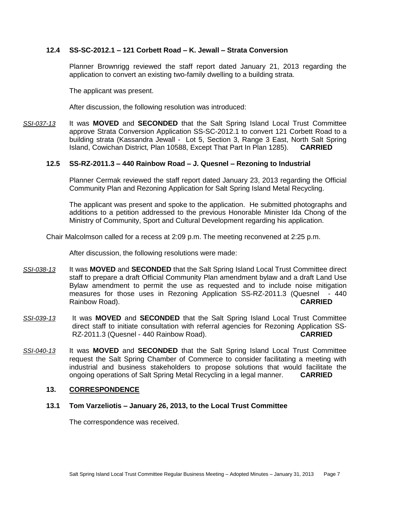# **12.4 SS-SC-2012.1 – 121 Corbett Road – K. Jewall – Strata Conversion**

Planner Brownrigg reviewed the staff report dated January 21, 2013 regarding the application to convert an existing two-family dwelling to a building strata.

The applicant was present.

After discussion, the following resolution was introduced:

*SSI-037-13* It was **MOVED** and **SECONDED** that the Salt Spring Island Local Trust Committee approve Strata Conversion Application SS-SC-2012.1 to convert 121 Corbett Road to a building strata (Kassandra Jewall - Lot 5, Section 3, Range 3 East, North Salt Spring Island, Cowichan District, Plan 10588, Except That Part In Plan 1285). **CARRIED**

### **12.5 SS-RZ-2011.3 – 440 Rainbow Road – J. Quesnel – Rezoning to Industrial**

Planner Cermak reviewed the staff report dated January 23, 2013 regarding the Official Community Plan and Rezoning Application for Salt Spring Island Metal Recycling.

The applicant was present and spoke to the application. He submitted photographs and additions to a petition addressed to the previous Honorable Minister Ida Chong of the Ministry of Community, Sport and Cultural Development regarding his application.

Chair Malcolmson called for a recess at 2:09 p.m. The meeting reconvened at 2:25 p.m.

After discussion, the following resolutions were made:

- *SSI-038-13* It was **MOVED** and **SECONDED** that the Salt Spring Island Local Trust Committee direct staff to prepare a draft Official Community Plan amendment bylaw and a draft Land Use Bylaw amendment to permit the use as requested and to include noise mitigation measures for those uses in Rezoning Application SS-RZ-2011.3 (Quesnel - 440 Rainbow Road). **CARRIED**
- *SSI-039-13* It was **MOVED** and **SECONDED** that the Salt Spring Island Local Trust Committee direct staff to initiate consultation with referral agencies for Rezoning Application SS‐ RZ‐2011.3 (Quesnel - 440 Rainbow Road). **CARRIED**
- *SSI-040-13* It was **MOVED** and **SECONDED** that the Salt Spring Island Local Trust Committee request the Salt Spring Chamber of Commerce to consider facilitating a meeting with industrial and business stakeholders to propose solutions that would facilitate the ongoing operations of Salt Spring Metal Recycling in a legal manner. **CARRIED**

# **13. CORRESPONDENCE**

### **13.1 Tom Varzeliotis – January 26, 2013, to the Local Trust Committee**

The correspondence was received.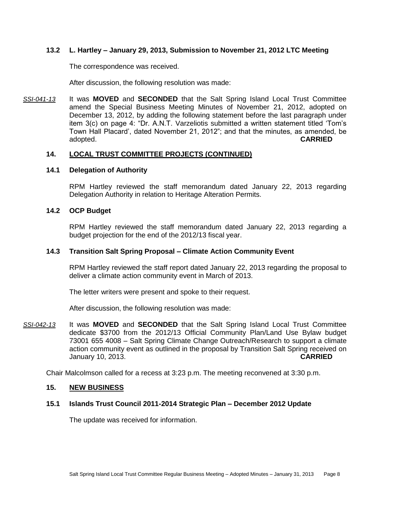# **13.2 L. Hartley – January 29, 2013, Submission to November 21, 2012 LTC Meeting**

The correspondence was received.

After discussion, the following resolution was made:

*SSI-041-13* It was **MOVED** and **SECONDED** that the Salt Spring Island Local Trust Committee amend the Special Business Meeting Minutes of November 21, 2012, adopted on December 13, 2012, by adding the following statement before the last paragraph under item 3(c) on page 4: "Dr. A.N.T. Varzeliotis submitted a written statement titled 'Tom's Town Hall Placard', dated November 21, 2012"; and that the minutes, as amended, be adopted. **CARRIED**

# **14. LOCAL TRUST COMMITTEE PROJECTS (CONTINUED)**

### **14.1 Delegation of Authority**

RPM Hartley reviewed the staff memorandum dated January 22, 2013 regarding Delegation Authority in relation to Heritage Alteration Permits.

### **14.2 OCP Budget**

RPM Hartley reviewed the staff memorandum dated January 22, 2013 regarding a budget projection for the end of the 2012/13 fiscal year.

### **14.3 Transition Salt Spring Proposal – Climate Action Community Event**

RPM Hartley reviewed the staff report dated January 22, 2013 regarding the proposal to deliver a climate action community event in March of 2013.

The letter writers were present and spoke to their request.

After discussion, the following resolution was made:

*SSI-042-13* It was **MOVED** and **SECONDED** that the Salt Spring Island Local Trust Committee dedicate \$3700 from the 2012/13 Official Community Plan/Land Use Bylaw budget 73001 655 4008 – Salt Spring Climate Change Outreach/Research to support a climate action community event as outlined in the proposal by Transition Salt Spring received on January 10, 2013. **CARRIED**

Chair Malcolmson called for a recess at 3:23 p.m. The meeting reconvened at 3:30 p.m.

#### **15. NEW BUSINESS**

### **15.1 Islands Trust Council 2011-2014 Strategic Plan – December 2012 Update**

The update was received for information.